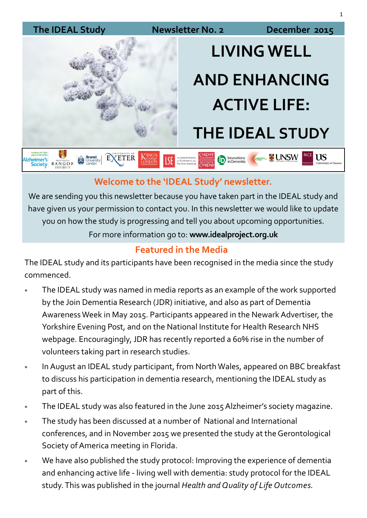#### The IDEAL Study **Newsletter No. 2** December 2015

**Izheimer's**<br>Society



# **LIVING WELL AND ENHANCING ACTIVE LIFE: THE IDEAL STUDY**

Innovations<br>in Dementia

**CHANGETHL TO UNSW** 

**US** 

**EXAMPLE PRINTS AND ANGLO PRINTED BANGOR** EXETER **ISE** DE LONDO

### **Welcome to the 'IDEAL Study' newsletter.**

We are sending you this newsletter because you have taken part in the IDEAL study and have given us your permission to contact you. In this newsletter we would like to update you on how the study is progressing and tell you about upcoming opportunities.

For more information go to: **www.idealproject.org.uk** 

### **Featured in the Media**

The IDEAL study and its participants have been recognised in the media since the study commenced.

- The IDEAL study was named in media reports as an example of the work supported by the Join Dementia Research (JDR) initiative, and also as part of Dementia Awareness Week in May 2015. Participants appeared in the Newark Advertiser, the Yorkshire Evening Post, and on the National Institute for Health Research NHS webpage. Encouragingly, JDR has recently reported a 60% rise in the number of volunteers taking part in research studies.
- In August an IDEAL study participant, from North Wales, appeared on BBC breakfast to discuss his participation in dementia research, mentioning the IDEAL study as part of this.
- The IDEAL study was also featured in the June 2015 Alzheimer's society magazine.
- The study has been discussed at a number of National and International conferences, and in November 2015 we presented the study at the Gerontological Society of America meeting in Florida.
- We have also published the study protocol: Improving the experience of dementia and enhancing active life - living well with dementia: study protocol for the IDEAL study. This was published in the journal *Health and Quality of Life Outcomes.*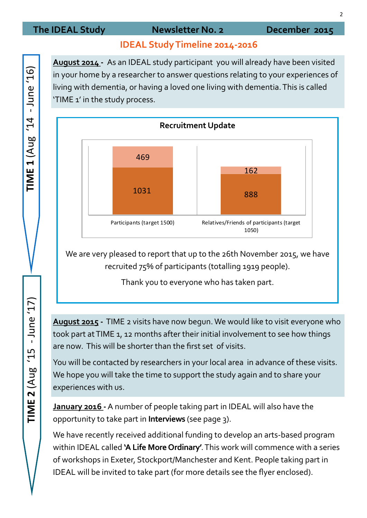#### The IDEAL Study **Newsletter No. 2** December 2015

#### **IDEAL Study Timeline 2014-2016**

**August 2014 -** As an IDEAL study participant you will already have been visited in your home by a researcher to answer questions relating to your experiences of living with dementia, or having a loved one living with dementia. This is called 'TIME 1' in the study process.



We are very pleased to report that up to the 26th November 2015, we have recruited 75% of participants (totalling 1919 people).

Thank you to everyone who has taken part.

**August 2015 -** TIME 2 visits have now begun. We would like to visit everyone who took part at TIME 1, 12 months after their initial involvement to see how things are now. This will be shorter than the first set of visits.

You will be contacted by researchers in your local area in advance of these visits. We hope you will take the time to support the study again and to share your experiences with us.

**January 2016 -**A number of people taking part in IDEAL will also have the opportunity to take part in **Interviews** (see page 3).

We have recently received additional funding to develop an arts-based program within IDEAL called **'A Life More Ordinary'**. This work will commence with a series of workshops in Exeter, Stockport/Manchester and Kent. People taking part in IDEAL will be invited to take part (for more details see the flyer enclosed).

 $(91)$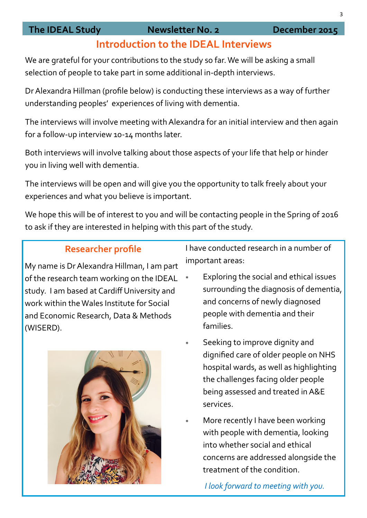#### The IDEAL Study **Newsletter No. 2** December 2015

### **Introduction to the IDEAL Interviews**

We are grateful for your contributions to the study so far. We will be asking a small selection of people to take part in some additional in-depth interviews.

Dr Alexandra Hillman (profile below) is conducting these interviews as a way of further understanding peoples' experiences of living with dementia.

The interviews will involve meeting with Alexandra for an initial interview and then again for a follow-up interview 10-14 months later.

Both interviews will involve talking about those aspects of your life that help or hinder you in living well with dementia.

The interviews will be open and will give you the opportunity to talk freely about your experiences and what you believe is important.

We hope this will be of interest to you and will be contacting people in the Spring of 2016 to ask if they are interested in helping with this part of the study.

#### **Researcher profile**

My name is Dr Alexandra Hillman, I am part of the research team working on the IDEAL study. I am based at Cardiff University and work within the Wales Institute for Social and Economic Research, Data & Methods (WISERD).



I have conducted research in a number of important areas:

- Exploring the social and ethical issues surrounding the diagnosis of dementia, and concerns of newly diagnosed people with dementia and their families.
- Seeking to improve dignity and dignified care of older people on NHS hospital wards, as well as highlighting the challenges facing older people being assessed and treated in A&E services.
- More recently I have been working with people with dementia, looking into whether social and ethical concerns are addressed alongside the treatment of the condition.

*I look forward to meeting with you.*